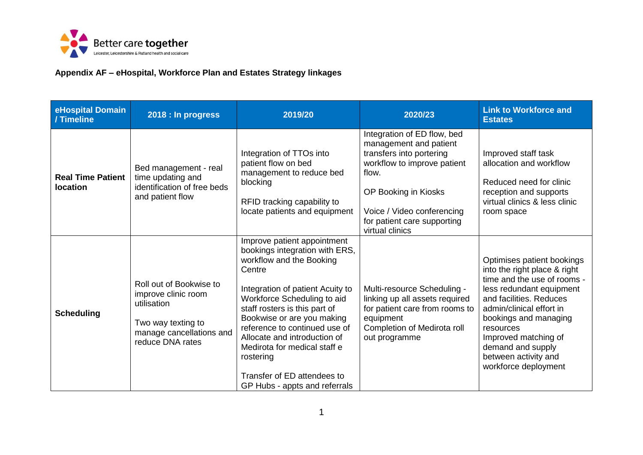

## **Appendix AF – eHospital, Workforce Plan and Estates Strategy linkages**

| eHospital Domain<br>/ Timeline       | 2018 : In progress                                                                                                                  | 2019/20                                                                                                                                                                                                                                                                                                                                                                                                             | 2020/23                                                                                                                                                                                                                           | <b>Link to Workforce and</b><br><b>Estates</b>                                                                                                                                                                                                                                                                  |
|--------------------------------------|-------------------------------------------------------------------------------------------------------------------------------------|---------------------------------------------------------------------------------------------------------------------------------------------------------------------------------------------------------------------------------------------------------------------------------------------------------------------------------------------------------------------------------------------------------------------|-----------------------------------------------------------------------------------------------------------------------------------------------------------------------------------------------------------------------------------|-----------------------------------------------------------------------------------------------------------------------------------------------------------------------------------------------------------------------------------------------------------------------------------------------------------------|
| <b>Real Time Patient</b><br>location | Bed management - real<br>time updating and<br>identification of free beds<br>and patient flow                                       | Integration of TTOs into<br>patient flow on bed<br>management to reduce bed<br>blocking<br>RFID tracking capability to<br>locate patients and equipment                                                                                                                                                                                                                                                             | Integration of ED flow, bed<br>management and patient<br>transfers into portering<br>workflow to improve patient<br>flow.<br>OP Booking in Kiosks<br>Voice / Video conferencing<br>for patient care supporting<br>virtual clinics | Improved staff task<br>allocation and workflow<br>Reduced need for clinic<br>reception and supports<br>virtual clinics & less clinic<br>room space                                                                                                                                                              |
| <b>Scheduling</b>                    | Roll out of Bookwise to<br>improve clinic room<br>utilisation<br>Two way texting to<br>manage cancellations and<br>reduce DNA rates | Improve patient appointment<br>bookings integration with ERS,<br>workflow and the Booking<br>Centre<br>Integration of patient Acuity to<br>Workforce Scheduling to aid<br>staff rosters is this part of<br>Bookwise or are you making<br>reference to continued use of<br>Allocate and introduction of<br>Medirota for medical staff e<br>rostering<br>Transfer of ED attendees to<br>GP Hubs - appts and referrals | Multi-resource Scheduling -<br>linking up all assets required<br>for patient care from rooms to<br>equipment<br>Completion of Medirota roll<br>out programme                                                                      | Optimises patient bookings<br>into the right place & right<br>time and the use of rooms -<br>less redundant equipment<br>and facilities. Reduces<br>admin/clinical effort in<br>bookings and managing<br>resources<br>Improved matching of<br>demand and supply<br>between activity and<br>workforce deployment |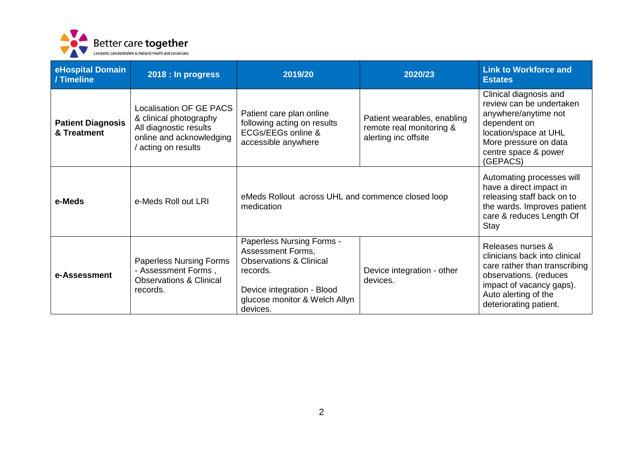

| eHospital Domain<br>/ Timeline          | 2018 : In progress                                                                                                                  | 2019/20                                                                                                                                                                     | 2020/23                                                                         | <b>Link to Workforce and</b><br><b>Estates</b>                                                                                                                                              |
|-----------------------------------------|-------------------------------------------------------------------------------------------------------------------------------------|-----------------------------------------------------------------------------------------------------------------------------------------------------------------------------|---------------------------------------------------------------------------------|---------------------------------------------------------------------------------------------------------------------------------------------------------------------------------------------|
| <b>Patient Diagnosis</b><br>& Treatment | <b>Localisation OF GE PACS</b><br>& clinical photography<br>All diagnostic results<br>online and acknowledging<br>acting on results | Patient care plan online<br>following acting on results<br>ECGs/EEGs online &<br>accessible anywhere                                                                        | Patient wearables, enabling<br>remote real monitoring &<br>alerting inc offsite | Clinical diagnosis and<br>review can be undertaken<br>anywhere/anytime not<br>dependent on<br>location/space at UHL<br>More pressure on data<br>centre space & power<br>(GEPACS)            |
| e-Meds                                  | e-Meds Roll out LRI                                                                                                                 | eMeds Rollout across UHL and commence closed loop<br>medication                                                                                                             |                                                                                 | Automating processes will<br>have a direct impact in<br>releasing staff back on to<br>the wards. Improves patient<br>care & reduces Length Of<br>Stay                                       |
| e-Assessment                            | <b>Paperless Nursing Forms</b><br>- Assessment Forms,<br><b>Observations &amp; Clinical</b><br>records.                             | Paperless Nursing Forms -<br>Assessment Forms,<br><b>Observations &amp; Clinical</b><br>records.<br>Device integration - Blood<br>glucose monitor & Welch Allyn<br>devices. | Device integration - other<br>devices.                                          | Releases nurses &<br>clinicians back into clinical<br>care rather than transcribing<br>observations. (reduces<br>impact of vacancy gaps).<br>Auto alerting of the<br>deteriorating patient. |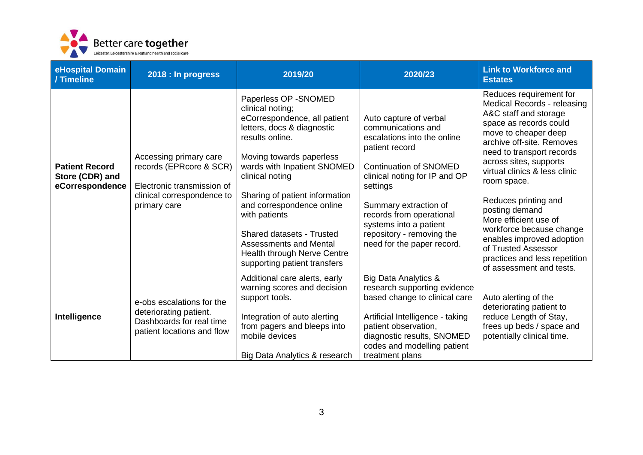

| eHospital Domain<br>/ Timeline                              | 2018 : In progress                                                                                                            | 2019/20                                                                                                                                                                                                                                                                                                                                                                                                                      | 2020/23                                                                                                                                                                                                                                                                                                               | <b>Link to Workforce and</b><br><b>Estates</b>                                                                                                                                                                                                                                                                                                                                                                                                                                        |
|-------------------------------------------------------------|-------------------------------------------------------------------------------------------------------------------------------|------------------------------------------------------------------------------------------------------------------------------------------------------------------------------------------------------------------------------------------------------------------------------------------------------------------------------------------------------------------------------------------------------------------------------|-----------------------------------------------------------------------------------------------------------------------------------------------------------------------------------------------------------------------------------------------------------------------------------------------------------------------|---------------------------------------------------------------------------------------------------------------------------------------------------------------------------------------------------------------------------------------------------------------------------------------------------------------------------------------------------------------------------------------------------------------------------------------------------------------------------------------|
| <b>Patient Record</b><br>Store (CDR) and<br>eCorrespondence | Accessing primary care<br>records (EPRcore & SCR)<br>Electronic transmission of<br>clinical correspondence to<br>primary care | Paperless OP - SNOMED<br>clinical noting;<br>eCorrespondence, all patient<br>letters, docs & diagnostic<br>results online.<br>Moving towards paperless<br>wards with Inpatient SNOMED<br>clinical noting<br>Sharing of patient information<br>and correspondence online<br>with patients<br><b>Shared datasets - Trusted</b><br><b>Assessments and Mental</b><br>Health through Nerve Centre<br>supporting patient transfers | Auto capture of verbal<br>communications and<br>escalations into the online<br>patient record<br><b>Continuation of SNOMED</b><br>clinical noting for IP and OP<br>settings<br>Summary extraction of<br>records from operational<br>systems into a patient<br>repository - removing the<br>need for the paper record. | Reduces requirement for<br>Medical Records - releasing<br>A&C staff and storage<br>space as records could<br>move to cheaper deep<br>archive off-site. Removes<br>need to transport records<br>across sites, supports<br>virtual clinics & less clinic<br>room space.<br>Reduces printing and<br>posting demand<br>More efficient use of<br>workforce because change<br>enables improved adoption<br>of Trusted Assessor<br>practices and less repetition<br>of assessment and tests. |
| Intelligence                                                | e-obs escalations for the<br>deteriorating patient.<br>Dashboards for real time<br>patient locations and flow                 | Additional care alerts, early<br>warning scores and decision<br>support tools.<br>Integration of auto alerting<br>from pagers and bleeps into<br>mobile devices<br>Big Data Analytics & research                                                                                                                                                                                                                             | <b>Big Data Analytics &amp;</b><br>research supporting evidence<br>based change to clinical care<br>Artificial Intelligence - taking<br>patient observation,<br>diagnostic results, SNOMED<br>codes and modelling patient<br>treatment plans                                                                          | Auto alerting of the<br>deteriorating patient to<br>reduce Length of Stay,<br>frees up beds / space and<br>potentially clinical time.                                                                                                                                                                                                                                                                                                                                                 |